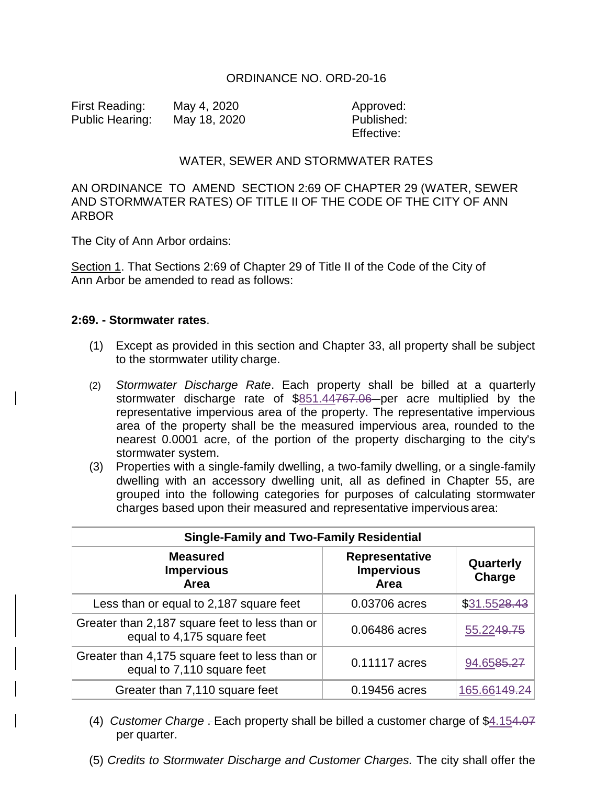## ORDINANCE NO. ORD-20-16

First Reading: May 4, 2020 Approved: Public Hearing: May 18, 2020 Published:

Effective:

## WATER, SEWER AND STORMWATER RATES

## AN ORDINANCE TO AMEND SECTION 2:69 OF CHAPTER 29 (WATER, SEWER AND STORMWATER RATES) OF TITLE II OF THE CODE OF THE CITY OF ANN ARBOR

The City of Ann Arbor ordains:

Section 1. That Sections 2:69 of Chapter 29 of Title II of the Code of the City of Ann Arbor be amended to read as follows:

## **2:69. - Stormwater rates**.

- (1) Except as provided in this section and Chapter 33, all property shall be subject to the stormwater utility charge.
- (2) *Stormwater Discharge Rate*. Each property shall be billed at a quarterly stormwater discharge rate of \$851.44767.06 per acre multiplied by the representative impervious area of the property. The representative impervious area of the property shall be the measured impervious area, rounded to the nearest 0.0001 acre, of the portion of the property discharging to the city's stormwater system.
- (3) Properties with a single-family dwelling, a two-family dwelling, or a single-family dwelling with an accessory dwelling unit, all as defined in Chapter 55, are grouped into the following categories for purposes of calculating stormwater charges based upon their measured and representative impervious area:

| <b>Single-Family and Two-Family Residential</b>                              |                                             |                     |  |
|------------------------------------------------------------------------------|---------------------------------------------|---------------------|--|
| <b>Measured</b><br><b>Impervious</b><br><b>Area</b>                          | Representative<br><b>Impervious</b><br>Area | Quarterly<br>Charge |  |
| Less than or equal to 2,187 square feet                                      | 0.03706 acres                               | \$31.5528.43        |  |
| Greater than 2,187 square feet to less than or<br>equal to 4,175 square feet | 0.06486 acres                               | 55.2249.75          |  |
| Greater than 4,175 square feet to less than or<br>equal to 7,110 square feet | 0.11117 acres                               | 94.6585.27          |  |
| Greater than 7,110 square feet                                               | 0.19456 acres                               | 165.6644            |  |

- (4) *Customer Charge* . Each property shall be billed a customer charge of \$4.154.07 per quarter.
- (5) *Credits to Stormwater Discharge and Customer Charges.* The city shall offer the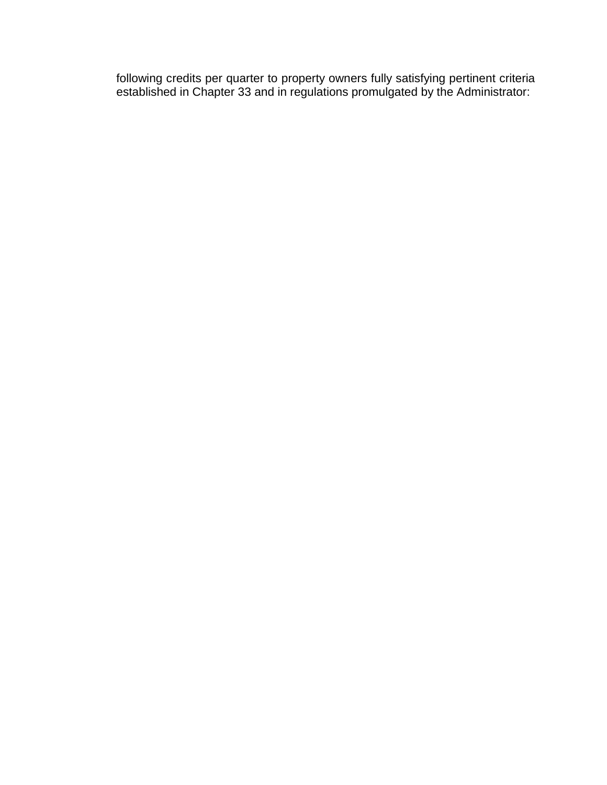following credits per quarter to property owners fully satisfying pertinent criteria established in Chapter 33 and in regulations promulgated by the Administrator: